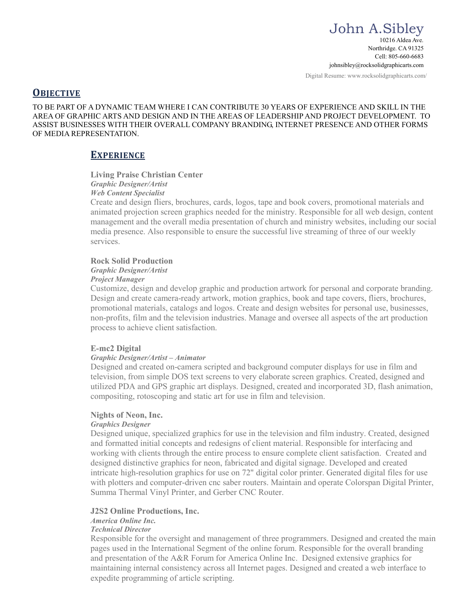Digital Resume: www.rocksolidgraphicarts.com/

# **OBJECTIVE**

TO BE PART OF A DYNAMIC TEAM WHERE I CAN CONTRIBUTE 30 YEARS OF EXPERIENCE AND SKILL IN THE AREA OF GRAPHIC ARTS AND DESIGN AND IN THE AREAS OF LEADERSHIP AND PROJECT DEVELOPMENT. TO ASSIST BUSINESSES WITH THEIR OVERALL COMPANY BRANDING, INTERNET PRESENCE AND OTHER FORMS OF MEDIA REPRESENTATION.

# **EXPERIENCE**

## **Living Praise Christian Center**

*Graphic Designer/Artist*

# *Web Content Specialist*

Create and design fliers, brochures, cards, logos, tape and book covers, promotional materials and animated projection screen graphics needed for the ministry. Responsible for all web design, content management and the overall media presentation of church and ministry websites, including our social media presence. Also responsible to ensure the successful live streaming of three of our weekly services.

#### **Rock Solid Production**

#### *Graphic Designer/Artist*

#### *Project Manager*

Customize, design and develop graphic and production artwork for personal and corporate branding. Design and create camera-ready artwork, motion graphics, book and tape covers, fliers, brochures, promotional materials, catalogs and logos. Create and design websites for personal use, businesses, non-profits, film and the television industries. Manage and oversee all aspects of the art production process to achieve client satisfaction.

## **E-mc2 Digital**

## *Graphic Designer/Artist – Animator*

Designed and created on-camera scripted and background computer displays for use in film and television, from simple DOS text screens to very elaborate screen graphics. Created, designed and utilized PDA and GPS graphic art displays. Designed, created and incorporated 3D, flash animation, compositing, rotoscoping and static art for use in film and television.

## **Nights of Neon, Inc.**

#### *Graphics Designer*

Designed unique, specialized graphics for use in the television and film industry. Created, designed and formatted initial concepts and redesigns of client material. Responsible for interfacing and working with clients through the entire process to ensure complete client satisfaction. Created and designed distinctive graphics for neon, fabricated and digital signage. Developed and created intricate high-resolution graphics for use on 72" digital color printer. Generated digital files for use with plotters and computer-driven cnc saber routers. Maintain and operate Colorspan Digital Printer, Summa Thermal Vinyl Printer, and Gerber CNC Router.

## **J2S2 Online Productions, Inc.**

# *America Online Inc.*

# *Technical Director*

Responsible for the oversight and management of three programmers. Designed and created the main pages used in the International Segment of the online forum. Responsible for the overall branding and presentation of the A&R Forum for America Online Inc. Designed extensive graphics for maintaining internal consistency across all Internet pages. Designed and created a web interface to expedite programming of article scripting.